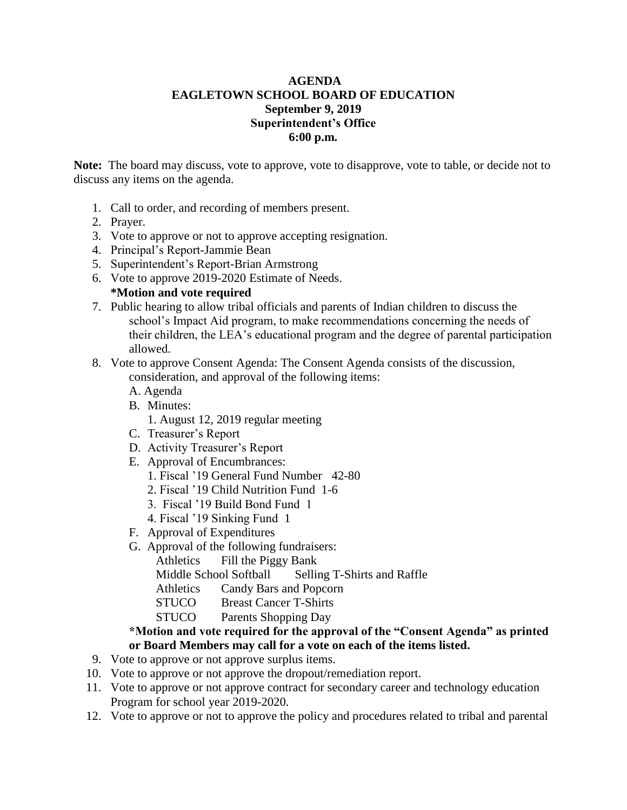## **AGENDA EAGLETOWN SCHOOL BOARD OF EDUCATION September 9, 2019 Superintendent's Office 6:00 p.m.**

**Note:** The board may discuss, vote to approve, vote to disapprove, vote to table, or decide not to discuss any items on the agenda.

- 1. Call to order, and recording of members present.
- 2. Prayer.
- 3. Vote to approve or not to approve accepting resignation.
- 4. Principal's Report-Jammie Bean
- 5. Superintendent's Report-Brian Armstrong
- 6. Vote to approve 2019-2020 Estimate of Needs. **\*Motion and vote required**
- 7. Public hearing to allow tribal officials and parents of Indian children to discuss the school's Impact Aid program, to make recommendations concerning the needs of their children, the LEA's educational program and the degree of parental participation allowed.
- 8. Vote to approve Consent Agenda: The Consent Agenda consists of the discussion, consideration, and approval of the following items:
	- A. Agenda
	- B. Minutes:
		- 1. August 12, 2019 regular meeting
	- C. Treasurer's Report
	- D. Activity Treasurer's Report
	- E. Approval of Encumbrances:
		- 1. Fiscal '19 General Fund Number 42-80
		- 2. Fiscal '19 Child Nutrition Fund 1-6
		- 3. Fiscal '19 Build Bond Fund 1
		- 4. Fiscal '19 Sinking Fund 1
	- F. Approval of Expenditures
	- G. Approval of the following fundraisers:
		- Athletics Fill the Piggy Bank

Middle School Softball Selling T-Shirts and Raffle

- Athletics Candy Bars and Popcorn
- STUCO Breast Cancer T-Shirts
- STUCO Parents Shopping Day

## **\*Motion and vote required for the approval of the "Consent Agenda" as printed or Board Members may call for a vote on each of the items listed.**

- 9. Vote to approve or not approve surplus items.
- 10. Vote to approve or not approve the dropout/remediation report.
- 11. Vote to approve or not approve contract for secondary career and technology education Program for school year 2019-2020.
- 12.Vote to approve or not to approve the policy and procedures related to tribal and parental